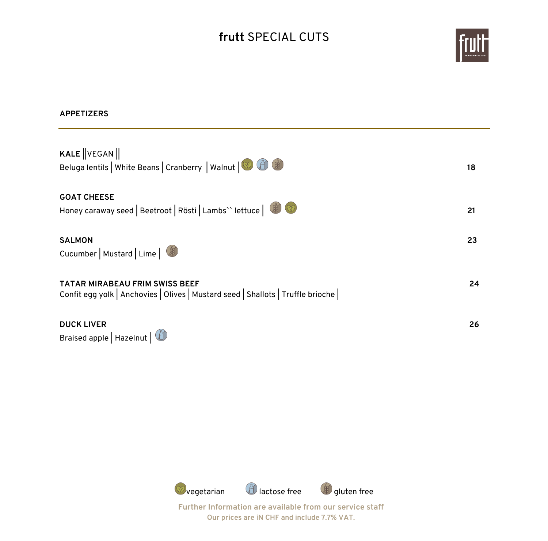# **frutt** SPECIAL CUTS



| <b>APPETIZERS</b>                                                                                                         |    |
|---------------------------------------------------------------------------------------------------------------------------|----|
| <b>KALE</b> $\ $ VEGAN $\ $<br>Beluga lentils   White Beans   Cranberry   Walnut   O (3)                                  | 18 |
| <b>GOAT CHEESE</b><br>Honey caraway seed   Beetroot   Rösti   Lambs`` lettuce   $\bullet$ $\bullet$                       | 21 |
| <b>SALMON</b><br>Cucumber   Mustard   Lime                                                                                | 23 |
| <b>TATAR MIRABEAU FRIM SWISS BEEF</b><br>Confit egg yolk   Anchovies   Olives   Mustard seed   Shallots   Truffle brioche | 24 |
| <b>DUCK LIVER</b><br>Braised apple   Hazelnut   4                                                                         | 26 |

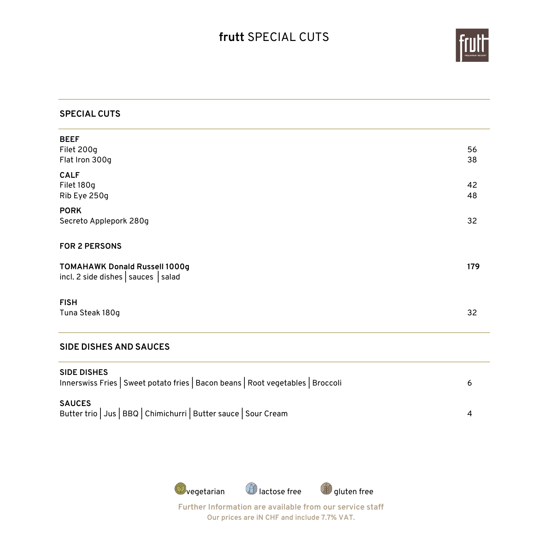## **frutt** SPECIAL CUTS



#### **SPECIAL CUTS**

| <b>BEEF</b>                                                                                                              |     |
|--------------------------------------------------------------------------------------------------------------------------|-----|
| Filet 200g                                                                                                               | 56  |
| Flat Iron 300g                                                                                                           | 38  |
| <b>CALF</b><br>Filet 180g                                                                                                | 42  |
| Rib Eye 250g                                                                                                             | 48  |
| <b>PORK</b>                                                                                                              |     |
| Secreto Applepork 280g                                                                                                   | 32  |
| <b>FOR 2 PERSONS</b>                                                                                                     |     |
| <b>TOMAHAWK Donald Russell 1000g</b><br>$\left  \text{incl. 2 side dishes} \right $ sauces $\left  \text{salad} \right $ | 179 |
| <b>FISH</b>                                                                                                              |     |
| Tuna Steak 180g                                                                                                          | 32  |
|                                                                                                                          |     |

#### **SIDE DISHES AND SAUCES**

| <b>SIDE DISHES</b><br>Innerswiss Fries   Sweet potato fries   Bacon beans   Root vegetables   Broccoli |  |
|--------------------------------------------------------------------------------------------------------|--|
| <b>SAUCES</b><br>Butter trio   Jus   BBQ   Chimichurri   Butter sauce   Sour Cream                     |  |

 $\bigcirc$ vegetarian  $\bigcirc$  lactose free  $\bigcirc$  gluten free **Further Information are available from our service staff**

**Our prices are iN CHF and include 7.7% VAT.**